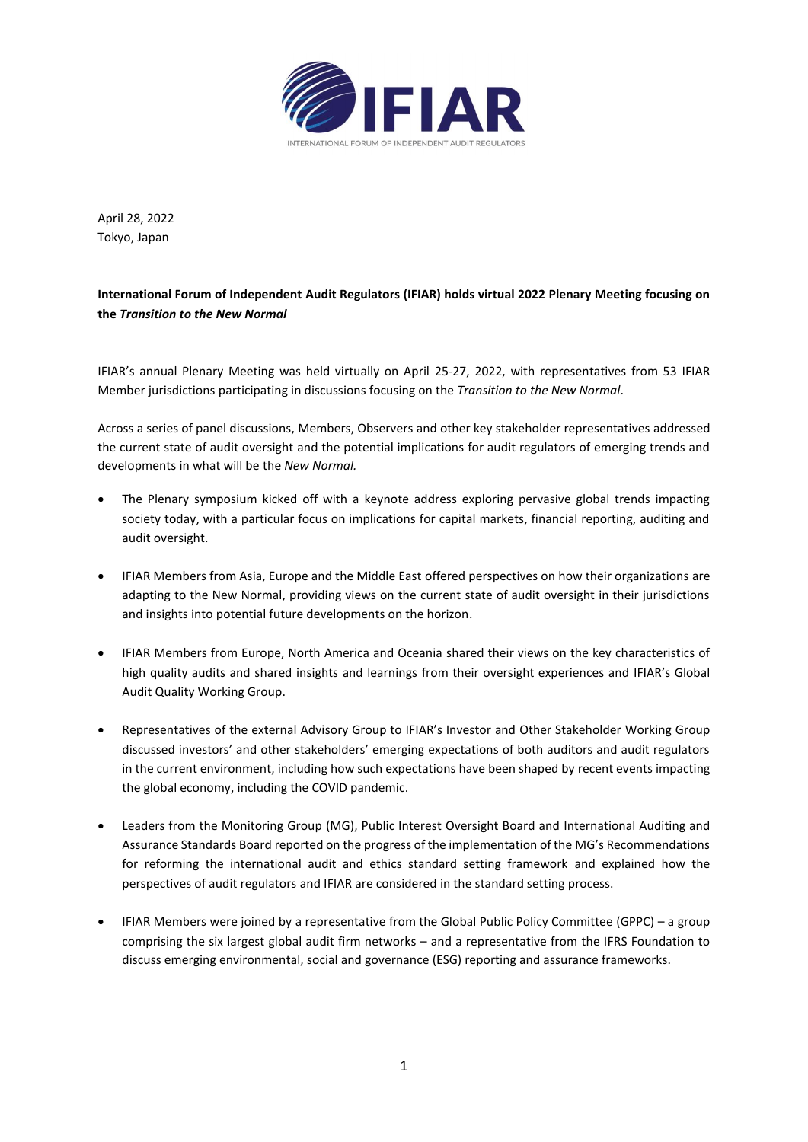

April 28, 2022 Tokyo, Japan

**International Forum of Independent Audit Regulators (IFIAR) holds virtual 2022 Plenary Meeting focusing on the** *Transition to the New Normal*

IFIAR's annual Plenary Meeting was held virtually on April 25-27, 2022, with representatives from 53 IFIAR Member jurisdictions participating in discussions focusing on the *Transition to the New Normal*.

Across a series of panel discussions, Members, Observers and other key stakeholder representatives addressed the current state of audit oversight and the potential implications for audit regulators of emerging trends and developments in what will be the *New Normal.*

- The Plenary symposium kicked off with a keynote address exploring pervasive global trends impacting society today, with a particular focus on implications for capital markets, financial reporting, auditing and audit oversight.
- IFIAR Members from Asia, Europe and the Middle East offered perspectives on how their organizations are adapting to the New Normal, providing views on the current state of audit oversight in their jurisdictions and insights into potential future developments on the horizon.
- IFIAR Members from Europe, North America and Oceania shared their views on the key characteristics of high quality audits and shared insights and learnings from their oversight experiences and IFIAR's Global Audit Quality Working Group.
- Representatives of the external Advisory Group to IFIAR's Investor and Other Stakeholder Working Group discussed investors' and other stakeholders' emerging expectations of both auditors and audit regulators in the current environment, including how such expectations have been shaped by recent events impacting the global economy, including the COVID pandemic.
- Leaders from the Monitoring Group (MG), Public Interest Oversight Board and International Auditing and Assurance Standards Board reported on the progress of the implementation of the MG's Recommendations for reforming the international audit and ethics standard setting framework and explained how the perspectives of audit regulators and IFIAR are considered in the standard setting process.
- IFIAR Members were joined by a representative from the Global Public Policy Committee (GPPC) a group comprising the six largest global audit firm networks – and a representative from the IFRS Foundation to discuss emerging environmental, social and governance (ESG) reporting and assurance frameworks.